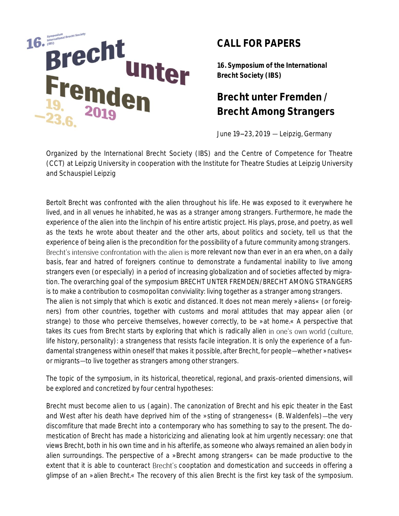

## **CALL FOR PAPERS**

**16. Symposium of the International Brecht Society (IBS)**

# **Brecht unter Fremden / Brecht Among Strangers**

June  $19 - 23$ ,  $2019$  - Leipzig, Germany

Organized by the International Brecht Society (IBS) and the Centre of Competence for Theatre (CCT) at Leipzig University in cooperation with the Institute for Theatre Studies at Leipzig University and Schauspiel Leipzig

Bertolt Brecht was confronted with the alien throughout his life. He was exposed to it everywhere he lived, and in all venues he inhabited, he was as a stranger among strangers. Furthermore, he made the experience of the alien into the linchpin of his entire artistic project. His plays, prose, and poetry, as well as the texts he wrote about theater and the other arts, about politics and society, tell us that the experience of being alien is the precondition for the possibility of a future community among strangers. Brecht's intensive confrontation with the alien is more relevant now than ever in an era when, on a daily basis, fear and hatred of foreigners continue to demonstrate a fundamental inability to live among strangers even (or especially) in a period of increasing globalization and of societies affected by migration. The overarching goal of the symposium BRECHT UNTER FREMDEN/BRECHT AMONG STRANGERS is to make a contribution to cosmopolitan conviviality: living together as a stranger among strangers. The alien is not simply that which is exotic and distanced. It does not mean merely »aliens« (or foreigners) from other countries, together with customs and moral attitudes that may appear alien (or strange) to those who perceive themselves, however correctly, to be »at home.« A perspective that takes its cues from Brecht starts by exploring that which is radically alien in one's own world (culture, life history, personality): a strangeness that resists facile integration. It is only the experience of a fundamental strangeness within oneself that makes it possible, after Brecht, for people-whether »natives« or migrants-to live together as strangers among other strangers.

The topic of the symposium, in its historical, theoretical, regional, and praxis-oriented dimensions, will be explored and concretized by four central hypotheses:

Brecht must become alien to us (again). The canonization of Brecht and his epic theater in the East and West after his death have deprived him of the »sting of strangeness« (B. Waldenfels)—the very discomfiture that made Brecht into a contemporary who has something to say to the present. The domestication of Brecht has made a historicizing and alienating look at him urgently necessary: one that views Brecht, both in his own time and in his afterlife, as someone who always remained an alien body in alien surroundings. The perspective of a »Brecht among strangers« can be made productive to the extent that it is able to counteract Brecht's cooptation and domestication and succeeds in offering a glimpse of an »alien Brecht.« *The recovery of this alien Brecht is the first key task of the symposium.*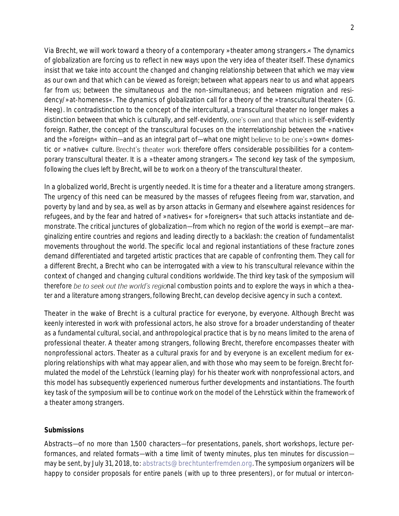Via Brecht, we will work toward a theory of a contemporary »theater among strangers.« The dynamics of globalization are forcing us to reflect in new ways upon the very idea of theater itself. These dynamics insist that we take into account the changed and changing relationship between that which we may view as our own and that which can be viewed as foreign; between what appears near to us and what appears far from us; between the simultaneous and the non-simultaneous; and between migration and residency/»at-homeness«. The dynamics of globalization call for a theory of the »transcultural theater« (G. Heeg). In contradistinction to the concept of the intercultural, a transcultural theater no longer makes a distinction between that which is culturally, and self-evidently, one's own and that which is self-evidently foreign. Rather, the concept of the transcultural focuses on the interrelationship between the »native« and the »foreign« within—and as an integral part of—what one might believe to be one's »own« domestic or »native« culture. Brecht's theater work therefore offers considerable possibilities for a contemporary transcultural theater. It is a »theater among strangers.« *The second key task of the symposium, following the clues left by Brecht, will be to work on a theory of the transcultural theater.*

In a globalized world, Brecht is urgently needed. It is time for a theater and a literature among strangers. The urgency of this need can be measured by the masses of refugees fleeing from war, starvation, and poverty by land and by sea, as well as by arson attacks in Germany and elsewhere against residences for refugees, and by the fear and hatred of »natives« for »foreigners« that such attacks instantiate and demonstrate. The critical junctures of globalization—from which no region of the world is exempt—are marginalizing entire countries and regions and leading directly to a backlash: the creation of fundamentalist movements throughout the world. The specific local and regional instantiations of these fracture zones demand differentiated and targeted artistic practices that are capable of confronting them. They call for a different Brecht, a Brecht who can be interrogated with a view to his transcultural relevance within the context of changed and changing cultural conditions worldwide. *The third key task of the symposium will therefore be to seek out the world's regional combustion points and to explore the ways in which a theater and a literature among strangers, following Brecht, can develop decisive agency in such a context.*

Theater in the wake of Brecht is a cultural practice for everyone, by everyone. Although Brecht was keenly interested in work with professional actors, he also strove for a broader understanding of theater as a fundamental cultural, social, and anthropological practice that is by no means limited to the arena of professional theater. A theater among strangers, following Brecht, therefore encompasses theater with nonprofessional actors. Theater as a cultural praxis for and by everyone is an excellent medium for exploring relationships with what may appear alien, and with those who may seem to be foreign. Brecht formulated the model of the *Lehrstück* (learning play) for his theater work with nonprofessional actors, and this model has subsequently experienced numerous further developments and instantiations. *The fourth key task of the symposium will be to continue work on the model of the* Lehrstück *within the framework of a theater among strangers.*

#### *Submissions*

Abstracts-of no more than 1,500 characters-for presentations, panels, short workshops, lecture performances, and related formats—with a time limit of twenty minutes, plus ten minutes for discussion may be sent, by July 31, 2018, to: [abstracts@brechtunterfremden.org](mailto:abstracts@brechtunterfremden.org). The symposium organizers will be happy to consider proposals for entire panels (with up to three presenters), or for mutual or intercon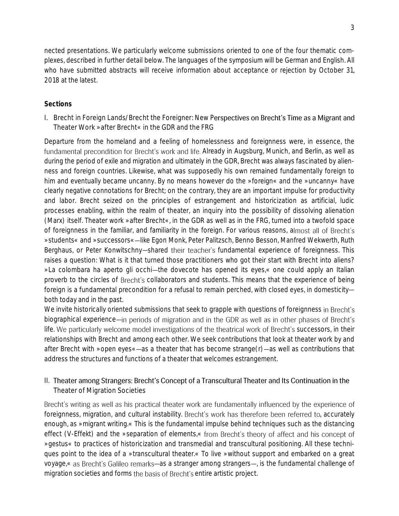nected presentations. We particularly welcome submissions oriented to one of the four thematic complexes, described in further detail below. The languages of the symposium will be German and English. All who have submitted abstracts will receive information about acceptance or rejection by October 31, 2018 at the latest.

### *Sections*

I. Brecht in Foreign Lands/Brecht the Foreigner: New Perspectives on Brecht's Time as a Migrant and Theater Work »after Brecht« in the GDR and the FRG

Departure from the homeland and a feeling of homelessness and foreignness were, in essence, the fundamental precondition for Brecht's work and life. Already in Augsburg, Munich, and Berlin, as well as during the period of exile and migration and ultimately in the GDR, Brecht was always fascinated by alienness and foreign countries. Likewise, what was supposedly his own remained fundamentally foreign to him and eventually became uncanny. By no means however do the »foreign« and the »uncanny« have clearly negative connotations for Brecht; on the contrary, they are an important impulse for productivity and labor. Brecht seized on the principles of estrangement and historicization as artificial, ludic processes enabling, within the realm of theater, an inquiry into the possibility of dissolving alienation (Marx) itself. Theater work »after Brecht«, in the GDR as well as in the FRG, turned into a twofold space of foreignness in the familiar, and familiarity in the foreign. For various reasons, a »students« and »successors« like Egon Monk, Peter Palitzsch, Benno Besson, Manfred Wekwerth, Ruth Berghaus, or Peter Konwitschny-shared their teacher's fundamental experience of foreignness. This raises a question: What is it that turned those practitioners who got their start with Brecht into aliens? »La colombara ha aperto gli occhi—the dovecote has opened its eyes,« one could apply an Italian proverb to the circles of Brecht's collaborators and students. This means that the experience of being foreign is a fundamental precondition for a refusal to remain perched, with closed eyes, in domesticityboth today and in the past.

We invite historically oriented submissions that seek to grapple with questions of foreignness in Brecht's biographical experience—in periods of migration and in the GDR as well as in other phases of Brecht's life. We particularly welcome model investigations of the theatrical work of Brecht's successors, in their relationships with Brecht and among each other. We seek contributions that look at theater work by and after Brecht with »open eyes«—as a theater that has become strange(r)—as well as contributions that address the structures and functions of a theater that welcomes estrangement.

### II. Theater among Strangers: Brecht's Concept of a Transcultural Theater and Its Continuation in the Theater of Migration Societies

Brecht's writing as well as his practical theater work are fundamentally influenced by the experience of foreignness, migration, and cultural instability. Brecht's work has therefore been referred to, accurately enough, as »migrant writing.« This is the fundamental impulse behind techniques such as the distancing effect (*V-Effekt*) and the »separation of elements,« from Brecht's theory of affect and his concept of »gestus« to practices of historicization and transmedial and transcultural positioning. All these techniques point to the idea of a »transcultural theater.« To live »without support and embarked on a great voyage, « as Brecht's Galileo remarks—as a stranger among strangers—, is the fundamental challenge of migration societies and forms the basis of Brecht's entire artistic project.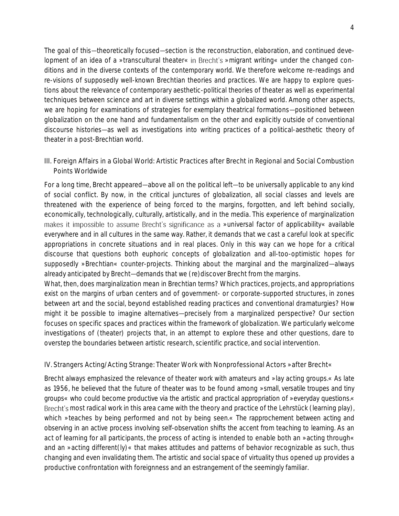The goal of this—theoretically focused—section is the reconstruction, elaboration, and continued development of an idea of a »transcultural theater« in Brecht's »migrant writing« under the changed conditions and in the diverse contexts of the contemporary world. We therefore welcome re-readings and re-visions of supposedly well-known Brechtian theories and practices. We are happy to explore questions about the relevance of contemporary aesthetic-political theories of theater as well as experimental techniques between science and art in diverse settings within a globalized world. Among other aspects, we are hoping for examinations of strategies for exemplary theatrical formations-positioned between globalization on the one hand and fundamentalism on the other and explicitly outside of conventional discourse histories—as well as investigations into writing practices of a political-aesthetic theory of theater in a post-Brechtian world.

III. Foreign Affairs in a Global World: Artistic Practices after Brecht in Regional and Social Combustion Points Worldwide

For a long time, Brecht appeared—above all on the political left—to be universally applicable to any kind of social conflict. By now, in the critical junctures of globalization, all social classes and levels are threatened with the experience of being forced to the margins, forgotten, and left behind socially, economically, technologically, culturally, artistically, and in the media. This experience of marginalization makes it impossible to assume Brecht's significance as a »universal factor of applicability« available everywhere and in all cultures in the same way. Rather, it demands that we cast a careful look at specific appropriations in concrete situations and in real places. Only in this way can we hope for a critical discourse that questions both euphoric concepts of globalization and all-too-optimistic hopes for supposedly »Brechtian« counter-projects. Thinking about the marginal and the marginalized—always already anticipated by Brecht—demands that we (re)discover Brecht from the margins.

What, then, does marginalization mean in Brechtian terms? Which practices, projects, and appropriations exist on the margins of urban centers and of government- or corporate-supported structures, in zones between art and the social, beyond established reading practices and conventional dramaturgies? How might it be possible to imagine alternatives precisely from a marginalized perspective? Our section focuses on specific spaces and practices within the framework of globalization. We particularly welcome investigations of (theater) projects that, in an attempt to explore these and other questions, dare to overstep the boundaries between artistic research, scientific practice, and social intervention.

#### IV. Strangers Acting/Acting Strange: Theater Work with Nonprofessional Actors »after Brecht«

Brecht always emphasized the relevance of theater work with amateurs and »lay acting groups.« As late as 1956, he believed that the future of theater was to be found among »small, versatile troupes and tiny groups« who could become productive via the artistic and practical appropriation of »everyday questions.« Brecht's most radical work in this area came with the theory and practice of the *Lehrstück* (learning play), which »teaches by being performed and not by being seen.« The rapprochement between acting and observing in an active process involving self-observation shifts the accent from teaching to learning. As an act of learning for all participants, the process of acting is intended to enable both an »acting through« and an »acting different(ly)« that makes attitudes and patterns of behavior recognizable as such, thus changing and even invalidating them. The artistic and social space of virtuality thus opened up provides a productive confrontation with foreignness and an estrangement of the seemingly familiar.